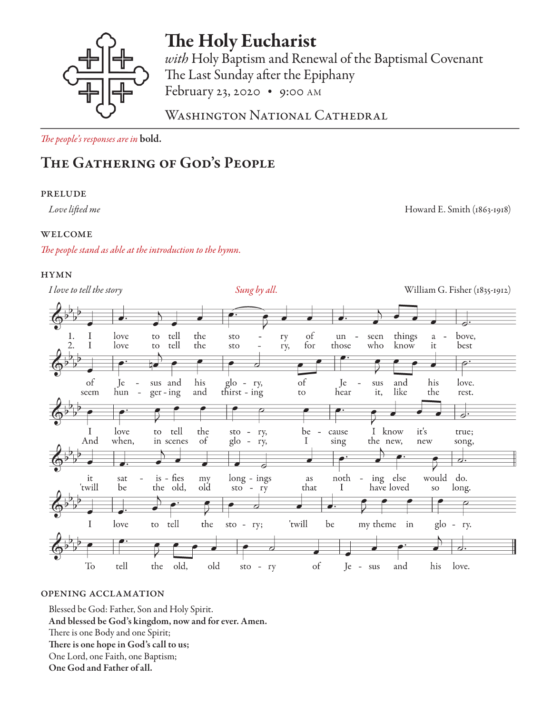

# The Holy Eucharist

*with* Holy Baptism and Renewal of the Baptismal Covenant The Last Sunday after the Epiphany February 23, 2020 • 9:00 AM

WASHINGTON NATIONAL CATHEDRAL

*The people's responses are in* bold.

## THE GATHERING OF GOD'S PEOPLE

### prelude

*Love lifted me* Howard E. Smith (1863-1918)

#### welcome

*The people stand as able at the introduction to the hymn.* 

#### hymn



#### opening acclamation

Blessed be God: Father, Son and Holy Spirit. And blessed be God's kingdom, now and for ever. Amen. There is one Body and one Spirit; There is one hope in God's call to us; One Lord, one Faith, one Baptism; One God and Father of all.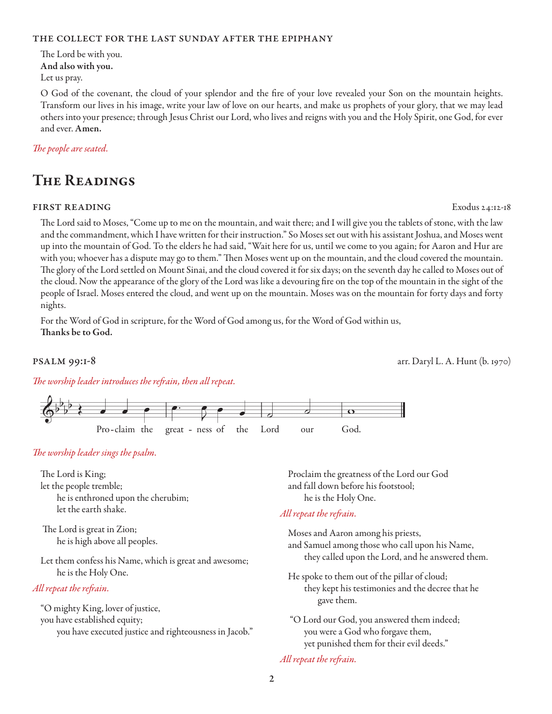#### the collect for the last sunday after the epiphany

The Lord be with you. And also with you.

Let us pray.

O God of the covenant, the cloud of your splendor and the fire of your love revealed your Son on the mountain heights. Transform our lives in his image, write your law of love on our hearts, and make us prophets of your glory, that we may lead others into your presence; through Jesus Christ our Lord, who lives and reigns with you and the Holy Spirit, one God, for ever and ever. Amen.

#### *The people are seated.*

### The Readings

#### first reading Exodus 24:12-18

The Lord said to Moses, "Come up to me on the mountain, and wait there; and I will give you the tablets of stone, with the law and the commandment, which I have written for their instruction." So Moses set out with his assistant Joshua, and Moses went up into the mountain of God. To the elders he had said, "Wait here for us, until we come to you again; for Aaron and Hur are with you; whoever has a dispute may go to them." Then Moses went up on the mountain, and the cloud covered the mountain. The glory of the Lord settled on Mount Sinai, and the cloud covered it for six days; on the seventh day he called to Moses out of the cloud. Now the appearance of the glory of the Lord was like a devouring fire on the top of the mountain in the sight of the people of Israel. Moses entered the cloud, and went up on the mountain. Moses was on the mountain for forty days and forty nights.

For the Word of God in scripture, for the Word of God among us, for the Word of God within us, Thanks be to God.

psalm 99:1-8 arr. Daryl L. A. Hunt (b. 1970)

*The worship leader introduces the refrain, then all repeat.* 



#### *The worship leader sings the psalm.*

The Lord is King; let the people tremble; he is enthroned upon the cherubim; let the earth shake.

 The Lord is great in Zion; he is high above all peoples.

Let them confess his Name, which is great and awesome; he is the Holy One.

#### *All repeat the refrain.*

"O mighty King, lover of justice, you have established equity; you have executed justice and righteousness in Jacob." Proclaim the greatness of the Lord our God and fall down before his footstool; he is the Holy One.

### *All repeat the refrain.*

Moses and Aaron among his priests, and Samuel among those who call upon his Name, they called upon the Lord, and he answered them.

- He spoke to them out of the pillar of cloud; they kept his testimonies and the decree that he gave them.
- "O Lord our God, you answered them indeed; you were a God who forgave them, yet punished them for their evil deeds."

#### *All repeat the refrain.*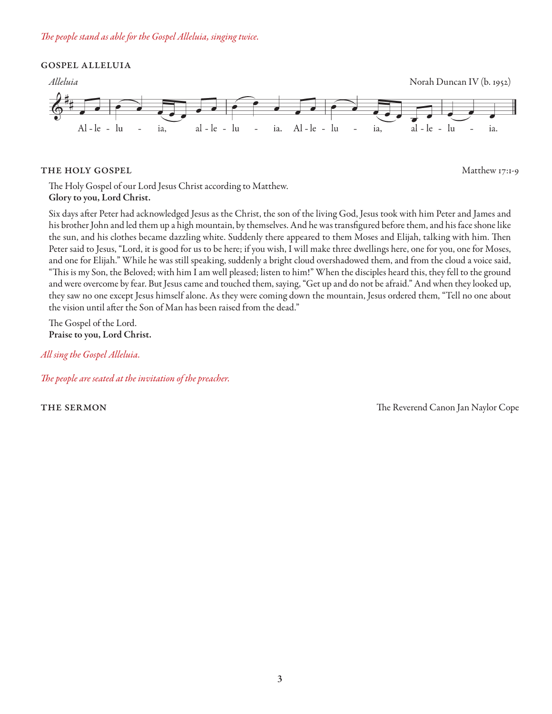#### *The people stand as able for the Gospel Alleluia, singing twice.*

#### gospel alleluia



#### the holy gospel Matthew 17:1-9

The Holy Gospel of our Lord Jesus Christ according to Matthew. Glory to you, Lord Christ.

Six days after Peter had acknowledged Jesus as the Christ, the son of the living God, Jesus took with him Peter and James and his brother John and led them up a high mountain, by themselves. And he was transfigured before them, and his face shone like the sun, and his clothes became dazzling white. Suddenly there appeared to them Moses and Elijah, talking with him. Then Peter said to Jesus, "Lord, it is good for us to be here; if you wish, I will make three dwellings here, one for you, one for Moses, and one for Elijah." While he was still speaking, suddenly a bright cloud overshadowed them, and from the cloud a voice said, "This is my Son, the Beloved; with him I am well pleased; listen to him!" When the disciples heard this, they fell to the ground and were overcome by fear. But Jesus came and touched them, saying, "Get up and do not be afraid." And when they looked up, they saw no one except Jesus himself alone. As they were coming down the mountain, Jesus ordered them, "Tell no one about the vision until after the Son of Man has been raised from the dead."

The Gospel of the Lord. Praise to you, Lord Christ.

*All sing the Gospel Alleluia.*

*The people are seated at the invitation of the preacher.*

**THE SERMON** THE REVERSION THE REVERSION THE REVERSION THE REVERSION THE REVERSION OF THE REVERSION OF THE REVERSION OF THE REVERSION OF THE REVERSION OF THE REVERSION OF THE REVERSION OF THE REVERSION OF THE REVERSION OF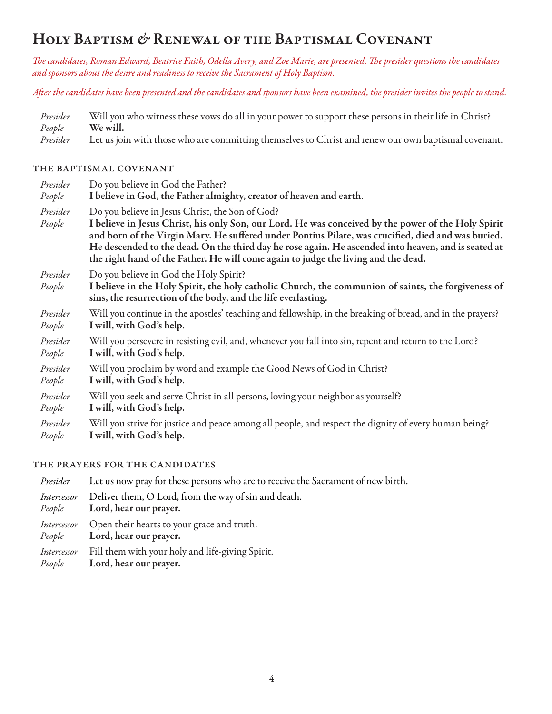### HOLY BAPTISM & RENEWAL OF THE BAPTISMAL COVENANT

*The candidates, Roman Edward, Beatrice Faith, Odella Avery, and Zoe Marie, are presented. The presider questions the candidates and sponsors about the desire and readiness to receive the Sacrament of Holy Baptism.*

*After the candidates have been presented and the candidates and sponsors have been examined, the presider invites the people to stand.*

|                        | Presider Will you who witness these vows do all in your power to support these persons in their life in Christ? |
|------------------------|-----------------------------------------------------------------------------------------------------------------|
| <i>People</i> We will. |                                                                                                                 |
|                        | Presider Let us join with those who are committing themselves to Christ and renew our own baptismal covenant.   |

#### the baptismal covenant

| Presider           | Do you believe in God the Father?                                                                                                                                                                                                                                                                                                                                                                                                                         |
|--------------------|-----------------------------------------------------------------------------------------------------------------------------------------------------------------------------------------------------------------------------------------------------------------------------------------------------------------------------------------------------------------------------------------------------------------------------------------------------------|
| People             | I believe in God, the Father almighty, creator of heaven and earth.                                                                                                                                                                                                                                                                                                                                                                                       |
| Presider<br>People | Do you believe in Jesus Christ, the Son of God?<br>I believe in Jesus Christ, his only Son, our Lord. He was conceived by the power of the Holy Spirit<br>and born of the Virgin Mary. He suffered under Pontius Pilate, was crucified, died and was buried.<br>He descended to the dead. On the third day he rose again. He ascended into heaven, and is seated at<br>the right hand of the Father. He will come again to judge the living and the dead. |
| Presider<br>People | Do you believe in God the Holy Spirit?<br>I believe in the Holy Spirit, the holy catholic Church, the communion of saints, the forgiveness of<br>sins, the resurrection of the body, and the life everlasting.                                                                                                                                                                                                                                            |
| Presider           | Will you continue in the apostles' teaching and fellowship, in the breaking of bread, and in the prayers?                                                                                                                                                                                                                                                                                                                                                 |
| People             | I will, with God's help.                                                                                                                                                                                                                                                                                                                                                                                                                                  |
| Presider           | Will you persevere in resisting evil, and, whenever you fall into sin, repent and return to the Lord?                                                                                                                                                                                                                                                                                                                                                     |
| People             | I will, with God's help.                                                                                                                                                                                                                                                                                                                                                                                                                                  |
| Presider           | Will you proclaim by word and example the Good News of God in Christ?                                                                                                                                                                                                                                                                                                                                                                                     |
| People             | I will, with God's help.                                                                                                                                                                                                                                                                                                                                                                                                                                  |
| Presider           | Will you seek and serve Christ in all persons, loving your neighbor as yourself?                                                                                                                                                                                                                                                                                                                                                                          |
| People             | I will, with God's help.                                                                                                                                                                                                                                                                                                                                                                                                                                  |
| Presider           | Will you strive for justice and peace among all people, and respect the dignity of every human being?                                                                                                                                                                                                                                                                                                                                                     |
| People             | I will, with God's help.                                                                                                                                                                                                                                                                                                                                                                                                                                  |

#### the prayers for the candidates

| Presider              | Let us now pray for these persons who are to receive the Sacrament of new birth.             |
|-----------------------|----------------------------------------------------------------------------------------------|
| Intercessor           | Deliver them, O Lord, from the way of sin and death.<br><i>People</i> Lord, hear our prayer. |
| Intercessor           | Open their hearts to your grace and truth.<br>People Lord, hear our prayer.                  |
| Intercessor<br>People | Fill them with your holy and life-giving Spirit.<br>Lord, hear our prayer.                   |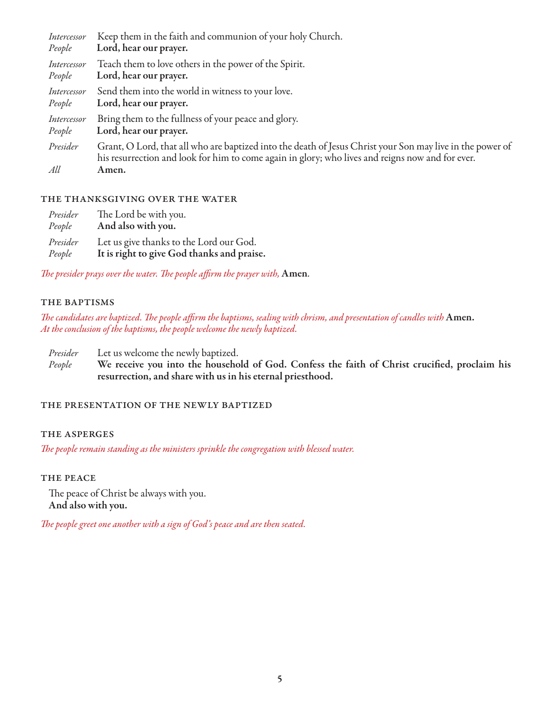| Intercessor     | Keep them in the faith and communion of your holy Church.                                                                                                                                                              |
|-----------------|------------------------------------------------------------------------------------------------------------------------------------------------------------------------------------------------------------------------|
| People          | Lord, hear our prayer.                                                                                                                                                                                                 |
| Intercessor     | Teach them to love others in the power of the Spirit.                                                                                                                                                                  |
| People          | Lord, hear our prayer.                                                                                                                                                                                                 |
| Intercessor     | Send them into the world in witness to your love.                                                                                                                                                                      |
| People          | Lord, hear our prayer.                                                                                                                                                                                                 |
| Intercessor     | Bring them to the fullness of your peace and glory.                                                                                                                                                                    |
| People          | Lord, hear our prayer.                                                                                                                                                                                                 |
| Presider<br>All | Grant, O Lord, that all who are baptized into the death of Jesus Christ your Son may live in the power of<br>his resurrection and look for him to come again in glory; who lives and reigns now and for ever.<br>Amen. |

#### the thanksgiving over the water

| Presider | The Lord be with you.                      |
|----------|--------------------------------------------|
| People   | And also with you.                         |
| Presider | Let us give thanks to the Lord our God.    |
| People   | It is right to give God thanks and praise. |

*The presider prays over the water. The people affirm the prayer with,* Amen*.*

#### the baptisms

*The candidates are baptized. The people affirm the baptisms, sealing with chrism, and presentation of candles with* Amen. *At the conclusion of the baptisms, the people welcome the newly baptized.* 

*Presider* Let us welcome the newly baptized.

*People* We receive you into the household of God. Confess the faith of Christ crucified, proclaim his resurrection, and share with us in his eternal priesthood.

#### the presentation of the newly baptized

#### the asperges

*The people remain standing as the ministers sprinkle the congregation with blessed water.*

THE PEACE

The peace of Christ be always with you. And also with you.

*The people greet one another with a sign of God's peace and are then seated.*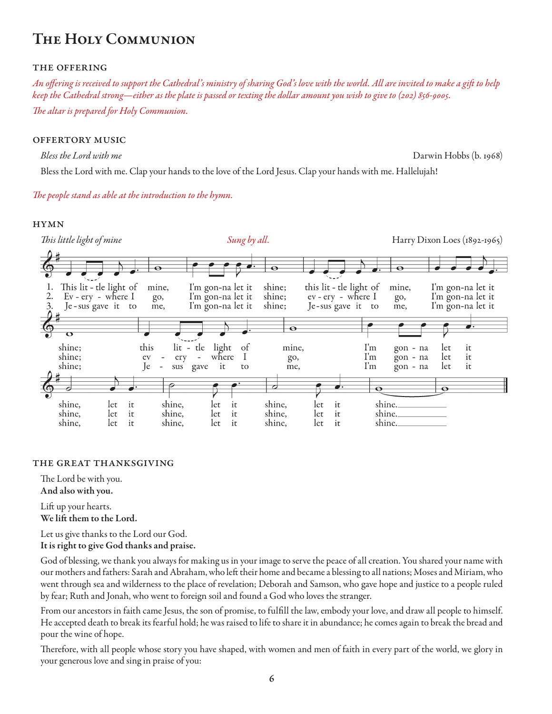## The Holy Communion

#### the offering

*An offering is received to support the Cathedral's ministry of sharing God's love with the world. All are invited to make a gift to help keep the Cathedral strong—either as the plate is passed or texting the dollar amount you wish to give to (202) 856-9005.*

*The altar is prepared for Holy Communion.* 

#### offertory music

*Bless the Lord with me* Darwin Hobbs (b. 1968)

Bless the Lord with me. Clap your hands to the love of the Lord Jesus. Clap your hands with me. Hallelujah!

#### *The people stand as able at the introduction to the hymn.*

#### hymn



#### the great thanksgiving

The Lord be with you. And also with you.

Lift up your hearts. We lift them to the Lord.

Let us give thanks to the Lord our God.

It is right to give God thanks and praise.

God of blessing, we thank you always for making us in your image to serve the peace of all creation. You shared your name with our mothers and fathers: Sarah and Abraham, who left their home and became a blessing to all nations; Moses and Miriam, who went through sea and wilderness to the place of revelation; Deborah and Samson, who gave hope and justice to a people ruled by fear; Ruth and Jonah, who went to foreign soil and found a God who loves the stranger.

From our ancestors in faith came Jesus, the son of promise, to fulfill the law, embody your love, and draw all people to himself. He accepted death to break its fearful hold; he was raised to life to share it in abundance; he comes again to break the bread and pour the wine of hope.

Therefore, with all people whose story you have shaped, with women and men of faith in every part of the world, we glory in your generous love and sing in praise of you: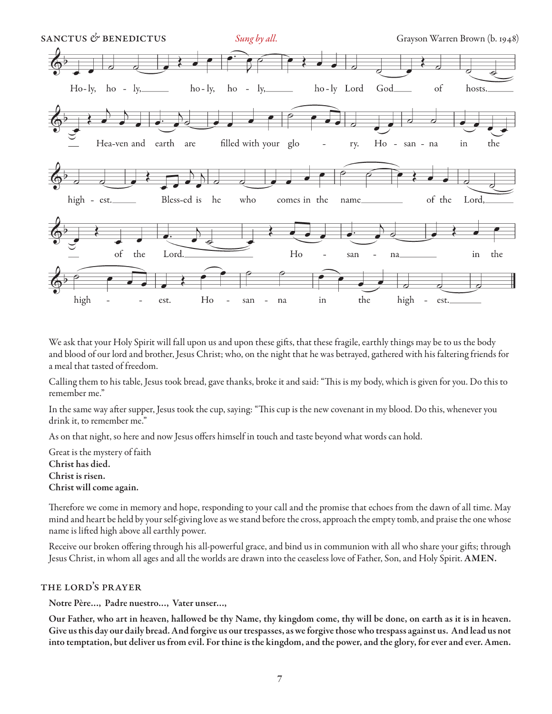

We ask that your Holy Spirit will fall upon us and upon these gifts, that these fragile, earthly things may be to us the body and blood of our lord and brother, Jesus Christ; who, on the night that he was betrayed, gathered with his faltering friends for a meal that tasted of freedom.

Calling them to his table, Jesus took bread, gave thanks, broke it and said: "This is my body, which is given for you. Do this to remember me."

In the same way after supper, Jesus took the cup, saying: "This cup is the new covenant in my blood. Do this, whenever you drink it, to remember me."

As on that night, so here and now Jesus offers himself in touch and taste beyond what words can hold.

Great is the mystery of faith Christ has died. Christ is risen. Christ will come again.

Therefore we come in memory and hope, responding to your call and the promise that echoes from the dawn of all time. May mind and heart be held by your self-giving love as we stand before the cross, approach the empty tomb, and praise the one whose name is lifted high above all earthly power.

Receive our broken offering through his all-powerful grace, and bind us in communion with all who share your gifts; through Jesus Christ, in whom all ages and all the worlds are drawn into the ceaseless love of Father, Son, and Holy Spirit. AMEN.

#### the lord's prayer

Notre Père…, Padre nuestro…, Vater unser…,

Our Father, who art in heaven, hallowed be thy Name, thy kingdom come, thy will be done, on earth as it is in heaven. Give us this day our daily bread. And forgive us our trespasses, as we forgive those who trespass against us. And lead us not into temptation, but deliver us from evil. For thine is the kingdom, and the power, and the glory, for ever and ever. Amen.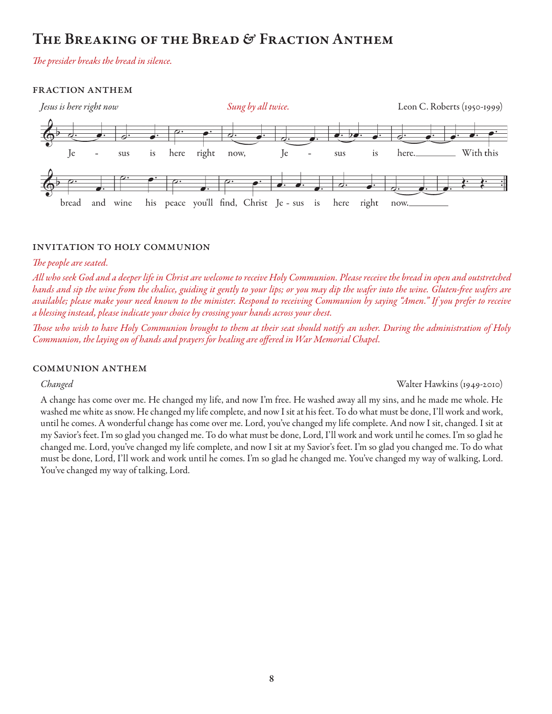### The Breaking of the Bread & Fraction Anthem

*The presider breaks the bread in silence.* 

#### fraction anthem



#### invitation to holy communion

#### *The people are seated.*

*All who seek God and a deeper life in Christ are welcome to receive Holy Communion. Please receive the bread in open and outstretched hands and sip the wine from the chalice, guiding it gently to your lips; or you may dip the wafer into the wine. Gluten-free wafers are available; please make your need known to the minister. Respond to receiving Communion by saying "Amen." If you prefer to receive a blessing instead, please indicate your choice by crossing your hands across your chest.* 

*Those who wish to have Holy Communion brought to them at their seat should notify an usher. During the administration of Holy Communion, the laying on of hands and prayers for healing are offered in War Memorial Chapel.*

#### communion anthem

*Changed* Walter Hawkins (1949-2010)

A change has come over me. He changed my life, and now I'm free. He washed away all my sins, and he made me whole. He washed me white as snow. He changed my life complete, and now I sit at his feet. To do what must be done, I'll work and work, until he comes. A wonderful change has come over me. Lord, you've changed my life complete. And now I sit, changed. I sit at my Savior's feet. I'm so glad you changed me. To do what must be done, Lord, I'll work and work until he comes. I'm so glad he changed me. Lord, you've changed my life complete, and now I sit at my Savior's feet. I'm so glad you changed me. To do what must be done, Lord, I'll work and work until he comes. I'm so glad he changed me. You've changed my way of walking, Lord. You've changed my way of talking, Lord.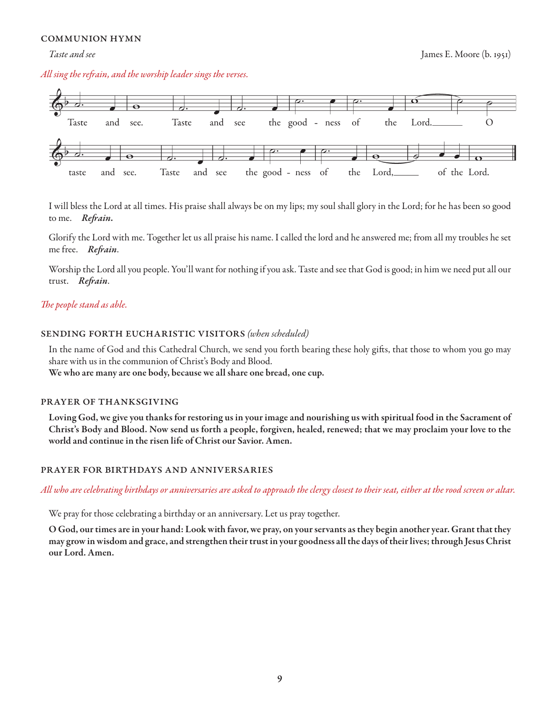#### communion hymn

#### *All sing the refrain, and the worship leader sings the verses.*



I will bless the Lord at all times. His praise shall always be on my lips; my soul shall glory in the Lord; for he has been so good to me. *Refrain.*

Glorify the Lord with me. Together let us all praise his name. I called the lord and he answered me; from all my troubles he set me free. *Refrain*.

Worship the Lord all you people. You'll want for nothing if you ask. Taste and see that God is good; in him we need put all our trust. *Refrain*.

#### *The people stand as able.*

#### sending forth eucharistic visitors *(when scheduled)*

In the name of God and this Cathedral Church, we send you forth bearing these holy gifts, that those to whom you go may share with us in the communion of Christ's Body and Blood.

We who are many are one body, because we all share one bread, one cup.

#### prayer of thanksgiving

Loving God, we give you thanks for restoring us in your image and nourishing us with spiritual food in the Sacrament of Christ's Body and Blood. Now send us forth a people, forgiven, healed, renewed; that we may proclaim your love to the world and continue in the risen life of Christ our Savior. Amen.

#### prayer for birthdays and anniversaries

*All who are celebrating birthdays or anniversaries are asked to approach the clergy closest to their seat, either at the rood screen or altar.*

We pray for those celebrating a birthday or an anniversary. Let us pray together.

O God, our times are in your hand: Look with favor, we pray, on your servants as they begin another year. Grant that they may grow in wisdom and grace, and strengthen their trust in your goodness all the days of their lives; through Jesus Christ our Lord. Amen.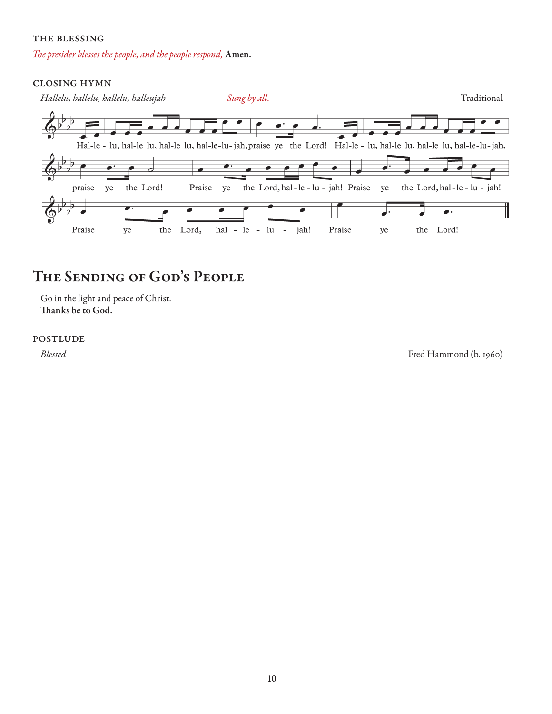#### THE BLESSING

*The presider blesses the people, and the people respond,* Amen.

#### closing hymn



### The Sending of God's People

Go in the light and peace of Christ. Thanks be to God.

#### **POSTLUDE**

*Blessed* Fred Hammond (b. 1960)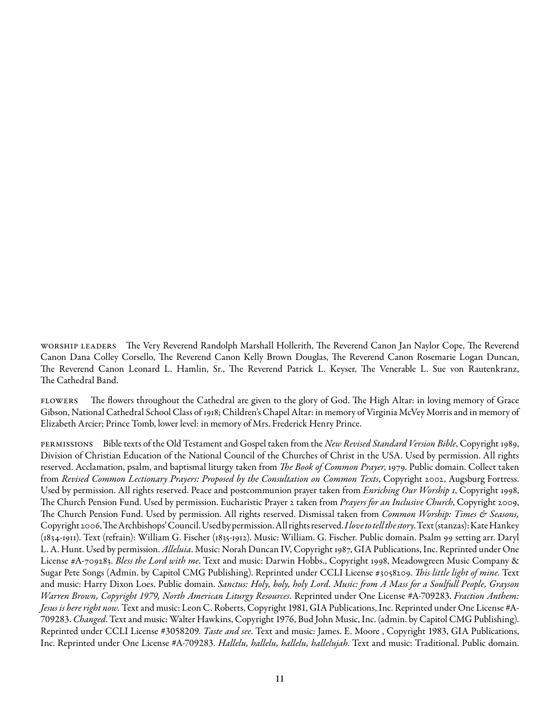worship leaders The Very Reverend Randolph Marshall Hollerith, The Reverend Canon Jan Naylor Cope, The Reverend Canon Dana Colley Corsello, The Reverend Canon Kelly Brown Douglas, The Reverend Canon Rosemarie Logan Duncan, The Reverend Canon Leonard L. Hamlin, Sr., The Reverend Patrick L. Keyser, The Venerable L. Sue von Rautenkranz, The Cathedral Band.

flowers The flowers throughout the Cathedral are given to the glory of God. The High Altar: in loving memory of Grace Gibson, National Cathedral School Class of 1918; Children's Chapel Altar: in memory of Virginia McVey Morris and in memory of Elizabeth Arcier; Prince Tomb, lower level: in memory of Mrs. Frederick Henry Prince.

permissions Bible texts of the Old Testament and Gospel taken from the *New Revised Standard Version Bible*, Copyright 1989, Division of Christian Education of the National Council of the Churches of Christ in the USA. Used by permission. All rights reserved. Acclamation, psalm, and baptismal liturgy taken from *The Book of Common Prayer*, 1979. Public domain. Collect taken from *Revised Common Lectionary Prayers: Proposed by the Consultation on Common Texts*, Copyright 2002, Augsburg Fortress. Used by permission. All rights reserved. Peace and postcommunion prayer taken from *Enriching Our Worship 1*, Copyright 1998, The Church Pension Fund. Used by permission. Eucharistic Prayer 2 taken from *Prayers for an Inclusive Church*, Copyright 2009, The Church Pension Fund. Used by permission. All rights reserved. Dismissal taken from *Common Worship: Times & Seasons,*  Copyright 2006, The Archbishops' Council. Used by permission. All rights reserved. *I love to tell the story*. Text (stanzas): Kate Hankey (1834-1911). Text (refrain): William G. Fischer (1835-1912). Music: William. G. Fischer. Public domain. Psalm 99 setting arr. Daryl L. A. Hunt. Used by permission. *Alleluia*. Music: Norah Duncan IV, Copyright 1987, GIA Publications, Inc. Reprinted under One License #A-709283. *Bless the Lord with me*. Text and music: Darwin Hobbs., Copyright 1998, Meadowgreen Music Company & Sugar Pete Songs (Admin. by Capitol CMG Publishing). Reprinted under CCLI License #3058209. *This little light of mine*. Text and music: Harry Dixon Loes. Public domain. *Sanctus: Holy, holy, holy Lord. Music: from A Mass for a Soulfull People, Grayson Warren Brown, Copyright 1979, North American Liturgy Resources.* Reprinted under One License #A-709283. *Fraction Anthem: Jesus is here right now.* Text and music: Leon C. Roberts, Copyright 1981, GIA Publications, Inc. Reprinted under One License #A-709283. *Changed*. Text and music: Walter Hawkins, Copyright 1976, Bud John Music, Inc. (admin. by Capitol CMG Publishing). Reprinted under CCLI License #3058209. *Taste and see*. Text and music: James. E. Moore , Copyright 1983, GIA Publications, Inc. Reprinted under One License #A-709283. *Hallelu, hallelu, hallelu, hallelujah*. Text and music: Traditional. Public domain.